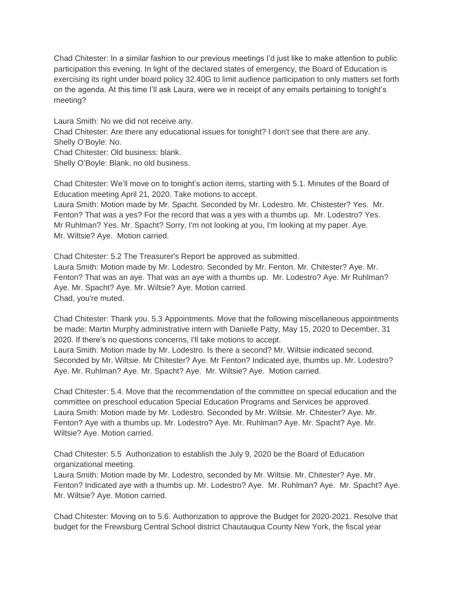Chad Chitester: In a similar fashion to our previous meetings I'd just like to make attention to public participation this evening. In light of the declared states of emergency, the Board of Education is exercising its right under board policy 32.40G to limit audience participation to only matters set forth on the agenda. At this time I'll ask Laura, were we in receipt of any emails pertaining to tonight's meeting?

Laura Smith: No we did not receive any. Chad Chitester: Are there any educational issues for tonight? I don't see that there are any. Shelly O'Boyle: No. Chad Chitester: Old business: blank. Shelly O'Boyle: Blank, no old business.

Chad Chitester: We'll move on to tonight's action items, starting with 5.1. Minutes of the Board of Education meeting April 21, 2020. Take motions to accept.

Laura Smith: Motion made by Mr. Spacht. Seconded by Mr. Lodestro. Mr. Chistester? Yes. Mr. Fenton? That was a yes? For the record that was a yes with a thumbs up. Mr. Lodestro? Yes. Mr Ruhlman? Yes. Mr. Spacht? Sorry, I'm not looking at you, I'm looking at my paper. Aye. Mr. Wiltsie? Aye. Motion carried.

Chad Chitester: 5.2 The Treasurer's Report be approved as submitted. Laura Smith: Motion made by Mr. Lodestro. Seconded by Mr. Fenton. Mr. Chitester? Aye. Mr. Fenton? That was an aye. That was an aye with a thumbs up. Mr. Lodestro? Aye. Mr Ruhlman? Aye. Mr. Spacht? Aye. Mr. Wiltsie? Aye. Motion carried. Chad, you're muted.

Chad Chitester: Thank you. 5.3 Appointments. Move that the following miscellaneous appointments be made: Martin Murphy administrative intern with Danielle Patty, May 15, 2020 to December, 31 2020. If there's no questions concerns, I'll take motions to accept. Laura Smith: Motion made by Mr. Lodestro. Is there a second? Mr. Wiltsie indicated second. Seconded by Mr. Wiltsie. Mr Chitester? Aye. Mr Fenton? Indicated aye, thumbs up. Mr. Lodestro? Aye. Mr. Ruhlman? Aye. Mr. Spacht? Aye. Mr. Wiltsie? Aye. Motion carried.

Chad Chitester: 5.4. Move that the recommendation of the committee on special education and the committee on preschool education Special Education Programs and Services be approved. Laura Smith: Motion made by Mr. Lodestro. Seconded by Mr. Wiltsie. Mr. Chitester? Aye. Mr. Fenton? Aye with a thumbs up. Mr. Lodestro? Aye. Mr. Ruhlman? Aye. Mr. Spacht? Aye. Mr. Wiltsie? Aye. Motion carried.

Chad Chitester: 5.5 Authorization to establish the July 9, 2020 be the Board of Education organizational meeting.

Laura Smith: Motion made by Mr. Lodestro, seconded by Mr. Wiltsie. Mr. Chitester? Aye. Mr. Fenton? Indicated aye with a thumbs up. Mr. Lodestro? Aye. Mr. Ruhlman? Aye. Mr. Spacht? Aye. Mr. Wiltsie? Aye. Motion carried.

Chad Chitester: Moving on to 5.6. Authorization to approve the Budget for 2020-2021. Resolve that budget for the Frewsburg Central School district Chautauqua County New York, the fiscal year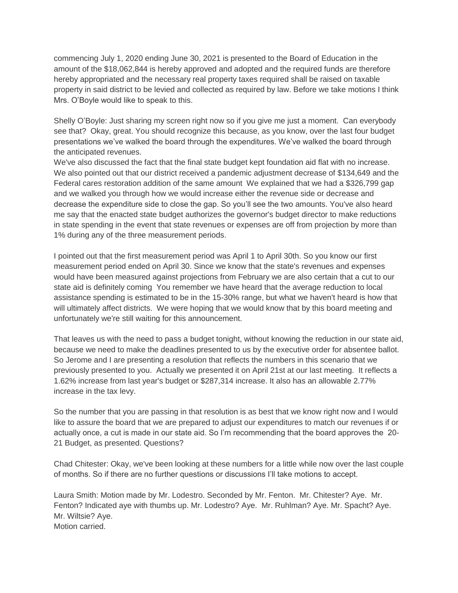commencing July 1, 2020 ending June 30, 2021 is presented to the Board of Education in the amount of the \$18,062,844 is hereby approved and adopted and the required funds are therefore hereby appropriated and the necessary real property taxes required shall be raised on taxable property in said district to be levied and collected as required by law. Before we take motions I think Mrs. O'Boyle would like to speak to this.

Shelly O'Boyle: Just sharing my screen right now so if you give me just a moment. Can everybody see that? Okay, great. You should recognize this because, as you know, over the last four budget presentations we've walked the board through the expenditures. We've walked the board through the anticipated revenues.

We've also discussed the fact that the final state budget kept foundation aid flat with no increase. We also pointed out that our district received a pandemic adjustment decrease of \$134,649 and the Federal cares restoration addition of the same amount We explained that we had a \$326,799 gap and we walked you through how we would increase either the revenue side or decrease and decrease the expenditure side to close the gap. So you'll see the two amounts. You've also heard me say that the enacted state budget authorizes the governor's budget director to make reductions in state spending in the event that state revenues or expenses are off from projection by more than 1% during any of the three measurement periods.

I pointed out that the first measurement period was April 1 to April 30th. So you know our first measurement period ended on April 30. Since we know that the state's revenues and expenses would have been measured against projections from February we are also certain that a cut to our state aid is definitely coming You remember we have heard that the average reduction to local assistance spending is estimated to be in the 15-30% range, but what we haven't heard is how that will ultimately affect districts. We were hoping that we would know that by this board meeting and unfortunately we're still waiting for this announcement.

That leaves us with the need to pass a budget tonight, without knowing the reduction in our state aid, because we need to make the deadlines presented to us by the executive order for absentee ballot. So Jerome and I are presenting a resolution that reflects the numbers in this scenario that we previously presented to you. Actually we presented it on April 21st at our last meeting. It reflects a 1.62% increase from last year's budget or \$287,314 increase. It also has an allowable 2.77% increase in the tax levy.

So the number that you are passing in that resolution is as best that we know right now and I would like to assure the board that we are prepared to adjust our expenditures to match our revenues if or actually once, a cut is made in our state aid. So I'm recommending that the board approves the 20- 21 Budget, as presented. Questions?

Chad Chitester: Okay, we've been looking at these numbers for a little while now over the last couple of months. So if there are no further questions or discussions I'll take motions to accept.

Laura Smith: Motion made by Mr. Lodestro. Seconded by Mr. Fenton. Mr. Chitester? Aye. Mr. Fenton? Indicated aye with thumbs up. Mr. Lodestro? Aye. Mr. Ruhlman? Aye. Mr. Spacht? Aye. Mr. Wiltsie? Aye. Motion carried.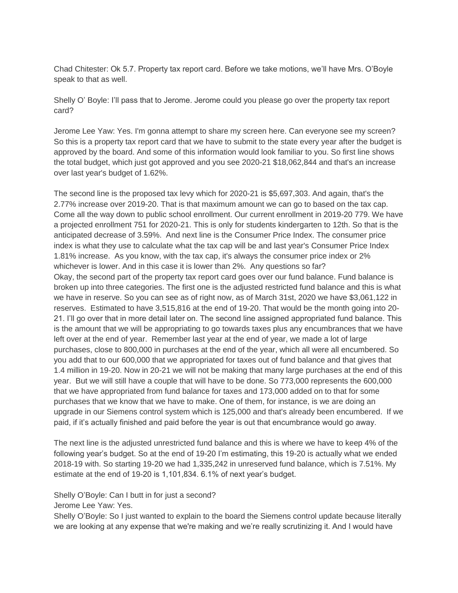Chad Chitester: Ok 5.7. Property tax report card. Before we take motions, we'll have Mrs. O'Boyle speak to that as well.

Shelly O' Boyle: I'll pass that to Jerome. Jerome could you please go over the property tax report card?

Jerome Lee Yaw: Yes. I'm gonna attempt to share my screen here. Can everyone see my screen? So this is a property tax report card that we have to submit to the state every year after the budget is approved by the board. And some of this information would look familiar to you. So first line shows the total budget, which just got approved and you see 2020-21 \$18,062,844 and that's an increase over last year's budget of 1.62%.

The second line is the proposed tax levy which for 2020-21 is \$5,697,303. And again, that's the 2.77% increase over 2019-20. That is that maximum amount we can go to based on the tax cap. Come all the way down to public school enrollment. Our current enrollment in 2019-20 779. We have a projected enrollment 751 for 2020-21. This is only for students kindergarten to 12th. So that is the anticipated decrease of 3.59%. And next line is the Consumer Price Index. The consumer price index is what they use to calculate what the tax cap will be and last year's Consumer Price Index 1.81% increase. As you know, with the tax cap, it's always the consumer price index or 2% whichever is lower. And in this case it is lower than 2%. Any questions so far? Okay, the second part of the property tax report card goes over our fund balance. Fund balance is broken up into three categories. The first one is the adjusted restricted fund balance and this is what we have in reserve. So you can see as of right now, as of March 31st, 2020 we have \$3,061,122 in reserves. Estimated to have 3,515,816 at the end of 19-20. That would be the month going into 20- 21. I'll go over that in more detail later on. The second line assigned appropriated fund balance. This is the amount that we will be appropriating to go towards taxes plus any encumbrances that we have left over at the end of year. Remember last year at the end of year, we made a lot of large purchases, close to 800,000 in purchases at the end of the year, which all were all encumbered. So you add that to our 600,000 that we appropriated for taxes out of fund balance and that gives that 1.4 million in 19-20. Now in 20-21 we will not be making that many large purchases at the end of this year. But we will still have a couple that will have to be done. So 773,000 represents the 600,000 that we have appropriated from fund balance for taxes and 173,000 added on to that for some purchases that we know that we have to make. One of them, for instance, is we are doing an upgrade in our Siemens control system which is 125,000 and that's already been encumbered. If we paid, if it's actually finished and paid before the year is out that encumbrance would go away.

The next line is the adjusted unrestricted fund balance and this is where we have to keep 4% of the following year's budget. So at the end of 19-20 I'm estimating, this 19-20 is actually what we ended 2018-19 with. So starting 19-20 we had 1,335,242 in unreserved fund balance, which is 7.51%. My estimate at the end of 19-20 is 1,101,834. 6.1% of next year's budget.

## Shelly O'Boyle: Can I butt in for just a second?

Jerome Lee Yaw: Yes.

Shelly O'Boyle: So I just wanted to explain to the board the Siemens control update because literally we are looking at any expense that we're making and we're really scrutinizing it. And I would have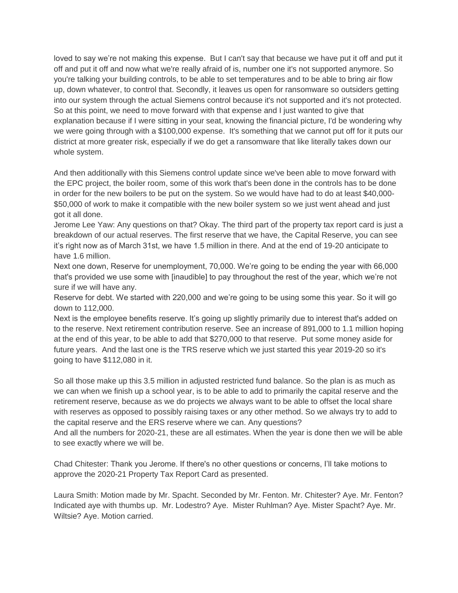loved to say we're not making this expense. But I can't say that because we have put it off and put it off and put it off and now what we're really afraid of is, number one it's not supported anymore. So you're talking your building controls, to be able to set temperatures and to be able to bring air flow up, down whatever, to control that. Secondly, it leaves us open for ransomware so outsiders getting into our system through the actual Siemens control because it's not supported and it's not protected. So at this point, we need to move forward with that expense and I just wanted to give that explanation because if I were sitting in your seat, knowing the financial picture, I'd be wondering why we were going through with a \$100,000 expense. It's something that we cannot put off for it puts our district at more greater risk, especially if we do get a ransomware that like literally takes down our whole system.

And then additionally with this Siemens control update since we've been able to move forward with the EPC project, the boiler room, some of this work that's been done in the controls has to be done in order for the new boilers to be put on the system. So we would have had to do at least \$40,000- \$50,000 of work to make it compatible with the new boiler system so we just went ahead and just got it all done.

Jerome Lee Yaw: Any questions on that? Okay. The third part of the property tax report card is just a breakdown of our actual reserves. The first reserve that we have, the Capital Reserve, you can see it's right now as of March 31st, we have 1.5 million in there. And at the end of 19-20 anticipate to have 1.6 million.

Next one down, Reserve for unemployment, 70,000. We're going to be ending the year with 66,000 that's provided we use some with [inaudible] to pay throughout the rest of the year, which we're not sure if we will have any.

Reserve for debt. We started with 220,000 and we're going to be using some this year. So it will go down to 112,000.

Next is the employee benefits reserve. It's going up slightly primarily due to interest that's added on to the reserve. Next retirement contribution reserve. See an increase of 891,000 to 1.1 million hoping at the end of this year, to be able to add that \$270,000 to that reserve. Put some money aside for future years. And the last one is the TRS reserve which we just started this year 2019-20 so it's going to have \$112,080 in it.

So all those make up this 3.5 million in adjusted restricted fund balance. So the plan is as much as we can when we finish up a school year, is to be able to add to primarily the capital reserve and the retirement reserve, because as we do projects we always want to be able to offset the local share with reserves as opposed to possibly raising taxes or any other method. So we always try to add to the capital reserve and the ERS reserve where we can. Any questions?

And all the numbers for 2020-21, these are all estimates. When the year is done then we will be able to see exactly where we will be.

Chad Chitester: Thank you Jerome. If there's no other questions or concerns, I'll take motions to approve the 2020-21 Property Tax Report Card as presented.

Laura Smith: Motion made by Mr. Spacht. Seconded by Mr. Fenton. Mr. Chitester? Aye. Mr. Fenton? Indicated aye with thumbs up. Mr. Lodestro? Aye. Mister Ruhlman? Aye. Mister Spacht? Aye. Mr. Wiltsie? Aye. Motion carried.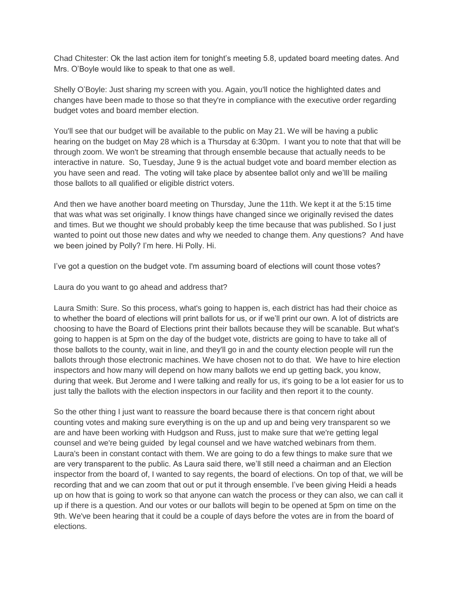Chad Chitester: Ok the last action item for tonight's meeting 5.8, updated board meeting dates. And Mrs. O'Boyle would like to speak to that one as well.

Shelly O'Boyle: Just sharing my screen with you. Again, you'll notice the highlighted dates and changes have been made to those so that they're in compliance with the executive order regarding budget votes and board member election.

You'll see that our budget will be available to the public on May 21. We will be having a public hearing on the budget on May 28 which is a Thursday at 6:30pm. I want you to note that that will be through zoom. We won't be streaming that through ensemble because that actually needs to be interactive in nature. So, Tuesday, June 9 is the actual budget vote and board member election as you have seen and read. The voting will take place by absentee ballot only and we'lll be mailing those ballots to all qualified or eligible district voters.

And then we have another board meeting on Thursday, June the 11th. We kept it at the 5:15 time that was what was set originally. I know things have changed since we originally revised the dates and times. But we thought we should probably keep the time because that was published. So I just wanted to point out those new dates and why we needed to change them. Any questions? And have we been joined by Polly? I'm here. Hi Polly. Hi.

I've got a question on the budget vote. I'm assuming board of elections will count those votes?

Laura do you want to go ahead and address that?

Laura Smith: Sure. So this process, what's going to happen is, each district has had their choice as to whether the board of elections will print ballots for us, or if we'll print our own. A lot of districts are choosing to have the Board of Elections print their ballots because they will be scanable. But what's going to happen is at 5pm on the day of the budget vote, districts are going to have to take all of those ballots to the county, wait in line, and they'll go in and the county election people will run the ballots through those electronic machines. We have chosen not to do that. We have to hire election inspectors and how many will depend on how many ballots we end up getting back, you know, during that week. But Jerome and I were talking and really for us, it's going to be a lot easier for us to just tally the ballots with the election inspectors in our facility and then report it to the county.

So the other thing I just want to reassure the board because there is that concern right about counting votes and making sure everything is on the up and up and being very transparent so we are and have been working with Hudgson and Russ, just to make sure that we're getting legal counsel and we're being guided by legal counsel and we have watched webinars from them. Laura's been in constant contact with them. We are going to do a few things to make sure that we are very transparent to the public. As Laura said there, we'll still need a chairman and an Election inspector from the board of, I wanted to say regents, the board of elections. On top of that, we will be recording that and we can zoom that out or put it through ensemble. I've been giving Heidi a heads up on how that is going to work so that anyone can watch the process or they can also, we can call it up if there is a question. And our votes or our ballots will begin to be opened at 5pm on time on the 9th. We've been hearing that it could be a couple of days before the votes are in from the board of elections.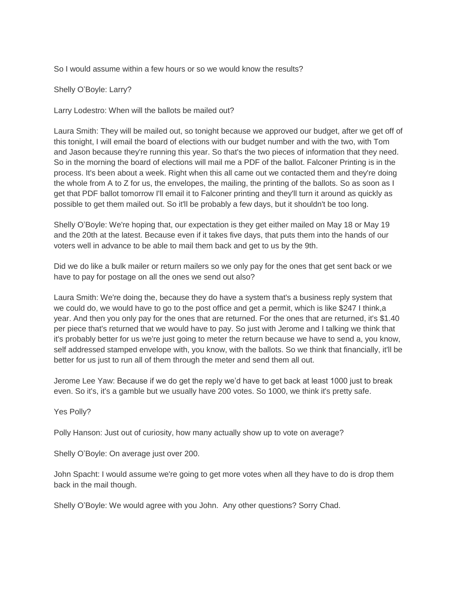So I would assume within a few hours or so we would know the results?

Shelly O'Boyle: Larry?

Larry Lodestro: When will the ballots be mailed out?

Laura Smith: They will be mailed out, so tonight because we approved our budget, after we get off of this tonight, I will email the board of elections with our budget number and with the two, with Tom and Jason because they're running this year. So that's the two pieces of information that they need. So in the morning the board of elections will mail me a PDF of the ballot. Falconer Printing is in the process. It's been about a week. Right when this all came out we contacted them and they're doing the whole from A to Z for us, the envelopes, the mailing, the printing of the ballots. So as soon as I get that PDF ballot tomorrow I'll email it to Falconer printing and they'll turn it around as quickly as possible to get them mailed out. So it'll be probably a few days, but it shouldn't be too long.

Shelly O'Boyle: We're hoping that, our expectation is they get either mailed on May 18 or May 19 and the 20th at the latest. Because even if it takes five days, that puts them into the hands of our voters well in advance to be able to mail them back and get to us by the 9th.

Did we do like a bulk mailer or return mailers so we only pay for the ones that get sent back or we have to pay for postage on all the ones we send out also?

Laura Smith: We're doing the, because they do have a system that's a business reply system that we could do, we would have to go to the post office and get a permit, which is like \$247 I think,a year. And then you only pay for the ones that are returned. For the ones that are returned, it's \$1.40 per piece that's returned that we would have to pay. So just with Jerome and I talking we think that it's probably better for us we're just going to meter the return because we have to send a, you know, self addressed stamped envelope with, you know, with the ballots. So we think that financially, it'll be better for us just to run all of them through the meter and send them all out.

Jerome Lee Yaw: Because if we do get the reply we'd have to get back at least 1000 just to break even. So it's, it's a gamble but we usually have 200 votes. So 1000, we think it's pretty safe.

Yes Polly?

Polly Hanson: Just out of curiosity, how many actually show up to vote on average?

Shelly O'Boyle: On average just over 200.

John Spacht: I would assume we're going to get more votes when all they have to do is drop them back in the mail though.

Shelly O'Boyle: We would agree with you John. Any other questions? Sorry Chad.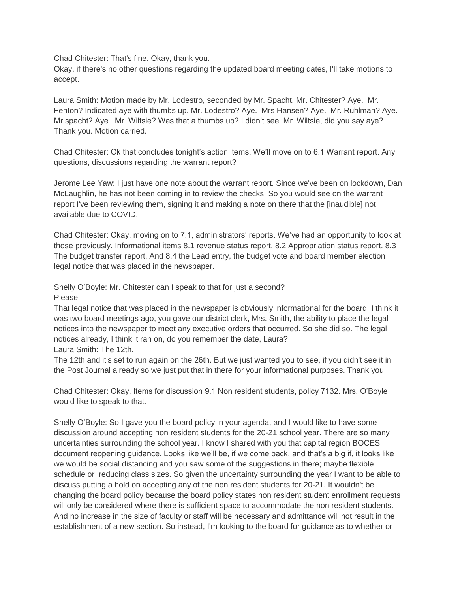Chad Chitester: That's fine. Okay, thank you.

Okay, if there's no other questions regarding the updated board meeting dates, I'll take motions to accept.

Laura Smith: Motion made by Mr. Lodestro, seconded by Mr. Spacht. Mr. Chitester? Aye. Mr. Fenton? Indicated aye with thumbs up. Mr. Lodestro? Aye. Mrs Hansen? Aye. Mr. Ruhlman? Aye. Mr spacht? Aye. Mr. Wiltsie? Was that a thumbs up? I didn't see. Mr. Wiltsie, did you say aye? Thank you. Motion carried.

Chad Chitester: Ok that concludes tonight's action items. We'll move on to 6.1 Warrant report. Any questions, discussions regarding the warrant report?

Jerome Lee Yaw: I just have one note about the warrant report. Since we've been on lockdown, Dan McLaughlin, he has not been coming in to review the checks. So you would see on the warrant report I've been reviewing them, signing it and making a note on there that the [inaudible] not available due to COVID.

Chad Chitester: Okay, moving on to 7.1, administrators' reports. We've had an opportunity to look at those previously. Informational items 8.1 revenue status report. 8.2 Appropriation status report. 8.3 The budget transfer report. And 8.4 the Lead entry, the budget vote and board member election legal notice that was placed in the newspaper.

Shelly O'Boyle: Mr. Chitester can I speak to that for just a second? Please.

That legal notice that was placed in the newspaper is obviously informational for the board. I think it was two board meetings ago, you gave our district clerk, Mrs. Smith, the ability to place the legal notices into the newspaper to meet any executive orders that occurred. So she did so. The legal notices already, I think it ran on, do you remember the date, Laura? Laura Smith: The 12th.

The 12th and it's set to run again on the 26th. But we just wanted you to see, if you didn't see it in the Post Journal already so we just put that in there for your informational purposes. Thank you.

Chad Chitester: Okay. Items for discussion 9.1 Non resident students, policy 7132. Mrs. O'Boyle would like to speak to that.

Shelly O'Boyle: So I gave you the board policy in your agenda, and I would like to have some discussion around accepting non resident students for the 20-21 school year. There are so many uncertainties surrounding the school year. I know I shared with you that capital region BOCES document reopening guidance. Looks like we'll be, if we come back, and that's a big if, it looks like we would be social distancing and you saw some of the suggestions in there; maybe flexible schedule or reducing class sizes. So given the uncertainty surrounding the year I want to be able to discuss putting a hold on accepting any of the non resident students for 20-21. It wouldn't be changing the board policy because the board policy states non resident student enrollment requests will only be considered where there is sufficient space to accommodate the non resident students. And no increase in the size of faculty or staff will be necessary and admittance will not result in the establishment of a new section. So instead, I'm looking to the board for guidance as to whether or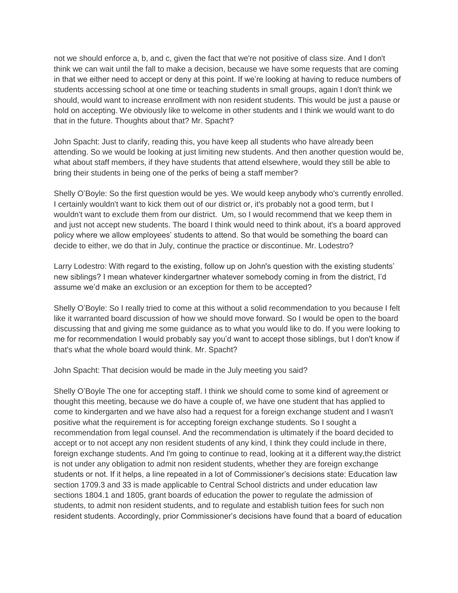not we should enforce a, b, and c, given the fact that we're not positive of class size. And I don't think we can wait until the fall to make a decision, because we have some requests that are coming in that we either need to accept or deny at this point. If we're looking at having to reduce numbers of students accessing school at one time or teaching students in small groups, again I don't think we should, would want to increase enrollment with non resident students. This would be just a pause or hold on accepting. We obviously like to welcome in other students and I think we would want to do that in the future. Thoughts about that? Mr. Spacht?

John Spacht: Just to clarify, reading this, you have keep all students who have already been attending. So we would be looking at just limiting new students. And then another question would be, what about staff members, if they have students that attend elsewhere, would they still be able to bring their students in being one of the perks of being a staff member?

Shelly O'Boyle: So the first question would be yes. We would keep anybody who's currently enrolled. I certainly wouldn't want to kick them out of our district or, it's probably not a good term, but I wouldn't want to exclude them from our district. Um, so I would recommend that we keep them in and just not accept new students. The board I think would need to think about, it's a board approved policy where we allow employees' students to attend. So that would be something the board can decide to either, we do that in July, continue the practice or discontinue. Mr. Lodestro?

Larry Lodestro: With regard to the existing, follow up on John's question with the existing students' new siblings? I mean whatever kindergartner whatever somebody coming in from the district, I'd assume we'd make an exclusion or an exception for them to be accepted?

Shelly O'Boyle: So I really tried to come at this without a solid recommendation to you because I felt like it warranted board discussion of how we should move forward. So I would be open to the board discussing that and giving me some guidance as to what you would like to do. If you were looking to me for recommendation I would probably say you'd want to accept those siblings, but I don't know if that's what the whole board would think. Mr. Spacht?

John Spacht: That decision would be made in the July meeting you said?

Shelly O'Boyle The one for accepting staff. I think we should come to some kind of agreement or thought this meeting, because we do have a couple of, we have one student that has applied to come to kindergarten and we have also had a request for a foreign exchange student and I wasn't positive what the requirement is for accepting foreign exchange students. So I sought a recommendation from legal counsel. And the recommendation is ultimately if the board decided to accept or to not accept any non resident students of any kind, I think they could include in there, foreign exchange students. And I'm going to continue to read, looking at it a different way,the district is not under any obligation to admit non resident students, whether they are foreign exchange students or not. If it helps, a line repeated in a lot of Commissioner's decisions state: Education law section 1709.3 and 33 is made applicable to Central School districts and under education law sections 1804.1 and 1805, grant boards of education the power to regulate the admission of students, to admit non resident students, and to regulate and establish tuition fees for such non resident students. Accordingly, prior Commissioner's decisions have found that a board of education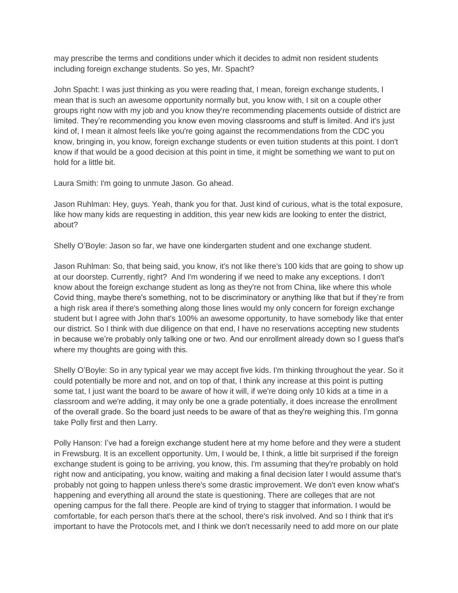may prescribe the terms and conditions under which it decides to admit non resident students including foreign exchange students. So yes, Mr. Spacht?

John Spacht: I was just thinking as you were reading that, I mean, foreign exchange students, I mean that is such an awesome opportunity normally but, you know with, I sit on a couple other groups right now with my job and you know they're recommending placements outside of district are limited. They're recommending you know even moving classrooms and stuff is limited. And it's just kind of, I mean it almost feels like you're going against the recommendations from the CDC you know, bringing in, you know, foreign exchange students or even tuition students at this point. I don't know if that would be a good decision at this point in time, it might be something we want to put on hold for a little bit.

Laura Smith: I'm going to unmute Jason. Go ahead.

Jason Ruhlman: Hey, guys. Yeah, thank you for that. Just kind of curious, what is the total exposure, like how many kids are requesting in addition, this year new kids are looking to enter the district, about?

Shelly O'Boyle: Jason so far, we have one kindergarten student and one exchange student.

Jason Ruhlman: So, that being said, you know, it's not like there's 100 kids that are going to show up at our doorstep. Currently, right? And I'm wondering if we need to make any exceptions. I don't know about the foreign exchange student as long as they're not from China, like where this whole Covid thing, maybe there's something, not to be discriminatory or anything like that but if they're from a high risk area if there's something along those lines would my only concern for foreign exchange student but I agree with John that's 100% an awesome opportunity, to have somebody like that enter our district. So I think with due diligence on that end, I have no reservations accepting new students in because we're probably only talking one or two. And our enrollment already down so I guess that's where my thoughts are going with this.

Shelly O'Boyle: So in any typical year we may accept five kids. I'm thinking throughout the year. So it could potentially be more and not, and on top of that, I think any increase at this point is putting some tat, I just want the board to be aware of how it will, if we're doing only 10 kids at a time in a classroom and we're adding, it may only be one a grade potentially, it does increase the enrollment of the overall grade. So the board just needs to be aware of that as they're weighing this. I'm gonna take Polly first and then Larry.

Polly Hanson: I've had a foreign exchange student here at my home before and they were a student in Frewsburg. It is an excellent opportunity. Um, I would be, I think, a little bit surprised if the foreign exchange student is going to be arriving, you know, this. I'm assuming that they're probably on hold right now and anticipating, you know, waiting and making a final decision later I would assume that's probably not going to happen unless there's some drastic improvement. We don't even know what's happening and everything all around the state is questioning. There are colleges that are not opening campus for the fall there. People are kind of trying to stagger that information. I would be comfortable, for each person that's there at the school, there's risk involved. And so I think that it's important to have the Protocols met, and I think we don't necessarily need to add more on our plate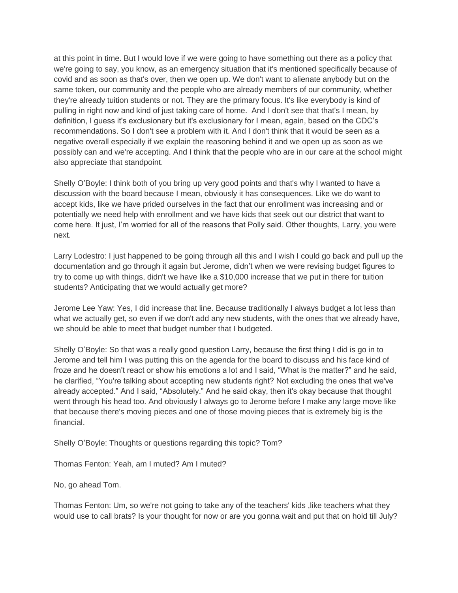at this point in time. But I would love if we were going to have something out there as a policy that we're going to say, you know, as an emergency situation that it's mentioned specifically because of covid and as soon as that's over, then we open up. We don't want to alienate anybody but on the same token, our community and the people who are already members of our community, whether they're already tuition students or not. They are the primary focus. It's like everybody is kind of pulling in right now and kind of just taking care of home. And I don't see that that's I mean, by definition, I guess it's exclusionary but it's exclusionary for I mean, again, based on the CDC's recommendations. So I don't see a problem with it. And I don't think that it would be seen as a negative overall especially if we explain the reasoning behind it and we open up as soon as we possibly can and we're accepting. And I think that the people who are in our care at the school might also appreciate that standpoint.

Shelly O'Boyle: I think both of you bring up very good points and that's why I wanted to have a discussion with the board because I mean, obviously it has consequences. Like we do want to accept kids, like we have prided ourselves in the fact that our enrollment was increasing and or potentially we need help with enrollment and we have kids that seek out our district that want to come here. It just, I'm worried for all of the reasons that Polly said. Other thoughts, Larry, you were next.

Larry Lodestro: I just happened to be going through all this and I wish I could go back and pull up the documentation and go through it again but Jerome, didn't when we were revising budget figures to try to come up with things, didn't we have like a \$10,000 increase that we put in there for tuition students? Anticipating that we would actually get more?

Jerome Lee Yaw: Yes, I did increase that line. Because traditionally I always budget a lot less than what we actually get, so even if we don't add any new students, with the ones that we already have, we should be able to meet that budget number that I budgeted.

Shelly O'Boyle: So that was a really good question Larry, because the first thing I did is go in to Jerome and tell him I was putting this on the agenda for the board to discuss and his face kind of froze and he doesn't react or show his emotions a lot and I said, "What is the matter?" and he said, he clarified, "You're talking about accepting new students right? Not excluding the ones that we've already accepted." And I said, "Absolutely." And he said okay, then it's okay because that thought went through his head too. And obviously I always go to Jerome before I make any large move like that because there's moving pieces and one of those moving pieces that is extremely big is the financial.

Shelly O'Boyle: Thoughts or questions regarding this topic? Tom?

Thomas Fenton: Yeah, am I muted? Am I muted?

No, go ahead Tom.

Thomas Fenton: Um, so we're not going to take any of the teachers' kids, like teachers what they would use to call brats? Is your thought for now or are you gonna wait and put that on hold till July?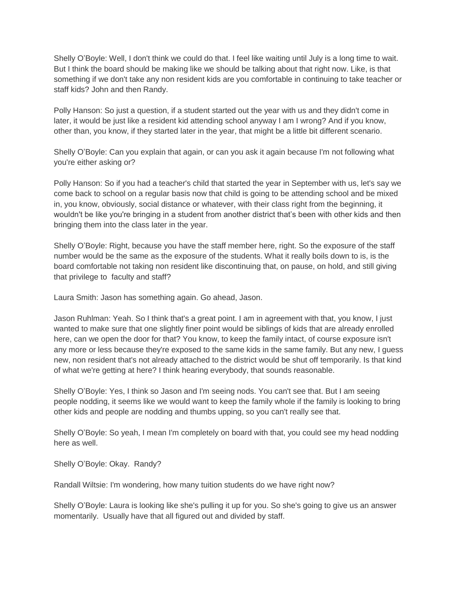Shelly O'Boyle: Well, I don't think we could do that. I feel like waiting until July is a long time to wait. But I think the board should be making like we should be talking about that right now. Like, is that something if we don't take any non resident kids are you comfortable in continuing to take teacher or staff kids? John and then Randy.

Polly Hanson: So just a question, if a student started out the year with us and they didn't come in later, it would be just like a resident kid attending school anyway I am I wrong? And if you know, other than, you know, if they started later in the year, that might be a little bit different scenario.

Shelly O'Boyle: Can you explain that again, or can you ask it again because I'm not following what you're either asking or?

Polly Hanson: So if you had a teacher's child that started the year in September with us, let's say we come back to school on a regular basis now that child is going to be attending school and be mixed in, you know, obviously, social distance or whatever, with their class right from the beginning, it wouldn't be like you're bringing in a student from another district that's been with other kids and then bringing them into the class later in the year.

Shelly O'Boyle: Right, because you have the staff member here, right. So the exposure of the staff number would be the same as the exposure of the students. What it really boils down to is, is the board comfortable not taking non resident like discontinuing that, on pause, on hold, and still giving that privilege to faculty and staff?

Laura Smith: Jason has something again. Go ahead, Jason.

Jason Ruhlman: Yeah. So I think that's a great point. I am in agreement with that, you know, I just wanted to make sure that one slightly finer point would be siblings of kids that are already enrolled here, can we open the door for that? You know, to keep the family intact, of course exposure isn't any more or less because they're exposed to the same kids in the same family. But any new, I guess new, non resident that's not already attached to the district would be shut off temporarily. Is that kind of what we're getting at here? I think hearing everybody, that sounds reasonable.

Shelly O'Boyle: Yes, I think so Jason and I'm seeing nods. You can't see that. But I am seeing people nodding, it seems like we would want to keep the family whole if the family is looking to bring other kids and people are nodding and thumbs upping, so you can't really see that.

Shelly O'Boyle: So yeah, I mean I'm completely on board with that, you could see my head nodding here as well.

Shelly O'Boyle: Okay. Randy?

Randall Wiltsie: I'm wondering, how many tuition students do we have right now?

Shelly O'Boyle: Laura is looking like she's pulling it up for you. So she's going to give us an answer momentarily. Usually have that all figured out and divided by staff.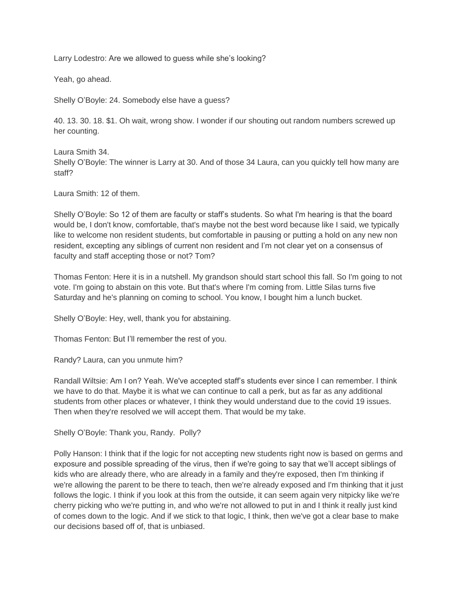Larry Lodestro: Are we allowed to guess while she's looking?

Yeah, go ahead.

Shelly O'Boyle: 24. Somebody else have a guess?

40. 13. 30. 18. \$1. Oh wait, wrong show. I wonder if our shouting out random numbers screwed up her counting.

Laura Smith 34. Shelly O'Boyle: The winner is Larry at 30. And of those 34 Laura, can you quickly tell how many are staff?

Laura Smith: 12 of them.

Shelly O'Boyle: So 12 of them are faculty or staff's students. So what I'm hearing is that the board would be, I don't know, comfortable, that's maybe not the best word because like I said, we typically like to welcome non resident students, but comfortable in pausing or putting a hold on any new non resident, excepting any siblings of current non resident and I'm not clear yet on a consensus of faculty and staff accepting those or not? Tom?

Thomas Fenton: Here it is in a nutshell. My grandson should start school this fall. So I'm going to not vote. I'm going to abstain on this vote. But that's where I'm coming from. Little Silas turns five Saturday and he's planning on coming to school. You know, I bought him a lunch bucket.

Shelly O'Boyle: Hey, well, thank you for abstaining.

Thomas Fenton: But I'll remember the rest of you.

Randy? Laura, can you unmute him?

Randall Wiltsie: Am I on? Yeah. We've accepted staff's students ever since I can remember. I think we have to do that. Maybe it is what we can continue to call a perk, but as far as any additional students from other places or whatever, I think they would understand due to the covid 19 issues. Then when they're resolved we will accept them. That would be my take.

Shelly O'Boyle: Thank you, Randy. Polly?

Polly Hanson: I think that if the logic for not accepting new students right now is based on germs and exposure and possible spreading of the virus, then if we're going to say that we'll accept siblings of kids who are already there, who are already in a family and they're exposed, then I'm thinking if we're allowing the parent to be there to teach, then we're already exposed and I'm thinking that it just follows the logic. I think if you look at this from the outside, it can seem again very nitpicky like we're cherry picking who we're putting in, and who we're not allowed to put in and I think it really just kind of comes down to the logic. And if we stick to that logic, I think, then we've got a clear base to make our decisions based off of, that is unbiased.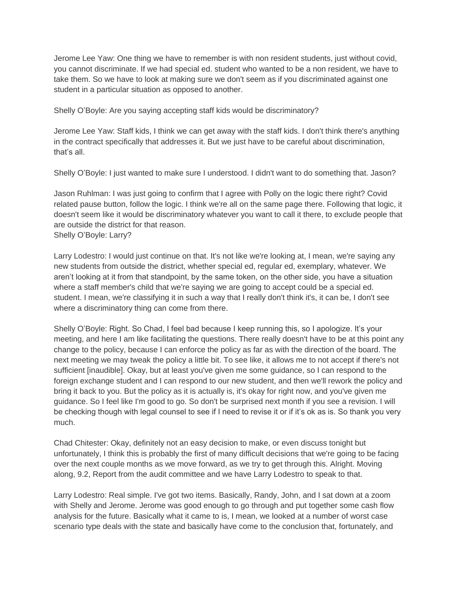Jerome Lee Yaw: One thing we have to remember is with non resident students, just without covid, you cannot discriminate. If we had special ed. student who wanted to be a non resident, we have to take them. So we have to look at making sure we don't seem as if you discriminated against one student in a particular situation as opposed to another.

Shelly O'Boyle: Are you saying accepting staff kids would be discriminatory?

Jerome Lee Yaw: Staff kids, I think we can get away with the staff kids. I don't think there's anything in the contract specifically that addresses it. But we just have to be careful about discrimination, that's all.

Shelly O'Boyle: I just wanted to make sure I understood. I didn't want to do something that. Jason?

Jason Ruhlman: I was just going to confirm that I agree with Polly on the logic there right? Covid related pause button, follow the logic. I think we're all on the same page there. Following that logic, it doesn't seem like it would be discriminatory whatever you want to call it there, to exclude people that are outside the district for that reason. Shelly O'Boyle: Larry?

Larry Lodestro: I would just continue on that. It's not like we're looking at, I mean, we're saying any new students from outside the district, whether special ed, regular ed, exemplary, whatever. We aren't looking at it from that standpoint, by the same token, on the other side, you have a situation where a staff member's child that we're saying we are going to accept could be a special ed. student. I mean, we're classifying it in such a way that I really don't think it's, it can be, I don't see where a discriminatory thing can come from there.

Shelly O'Boyle: Right. So Chad, I feel bad because I keep running this, so I apologize. It's your meeting, and here I am like facilitating the questions. There really doesn't have to be at this point any change to the policy, because I can enforce the policy as far as with the direction of the board. The next meeting we may tweak the policy a little bit. To see like, it allows me to not accept if there's not sufficient [inaudible]. Okay, but at least you've given me some guidance, so I can respond to the foreign exchange student and I can respond to our new student, and then we'll rework the policy and bring it back to you. But the policy as it is actually is, it's okay for right now, and you've given me guidance. So I feel like I'm good to go. So don't be surprised next month if you see a revision. I will be checking though with legal counsel to see if I need to revise it or if it's ok as is. So thank you very much.

Chad Chitester: Okay, definitely not an easy decision to make, or even discuss tonight but unfortunately, I think this is probably the first of many difficult decisions that we're going to be facing over the next couple months as we move forward, as we try to get through this. Alright. Moving along, 9.2, Report from the audit committee and we have Larry Lodestro to speak to that.

Larry Lodestro: Real simple. I've got two items. Basically, Randy, John, and I sat down at a zoom with Shelly and Jerome. Jerome was good enough to go through and put together some cash flow analysis for the future. Basically what it came to is, I mean, we looked at a number of worst case scenario type deals with the state and basically have come to the conclusion that, fortunately, and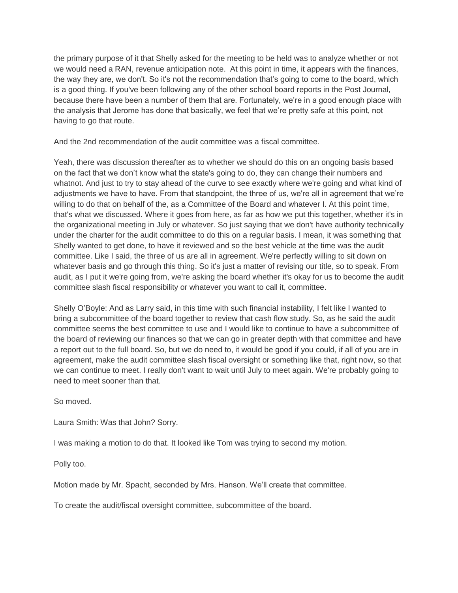the primary purpose of it that Shelly asked for the meeting to be held was to analyze whether or not we would need a RAN, revenue anticipation note. At this point in time, it appears with the finances, the way they are, we don't. So it's not the recommendation that's going to come to the board, which is a good thing. If you've been following any of the other school board reports in the Post Journal, because there have been a number of them that are. Fortunately, we're in a good enough place with the analysis that Jerome has done that basically, we feel that we're pretty safe at this point, not having to go that route.

And the 2nd recommendation of the audit committee was a fiscal committee.

Yeah, there was discussion thereafter as to whether we should do this on an ongoing basis based on the fact that we don't know what the state's going to do, they can change their numbers and whatnot. And just to try to stay ahead of the curve to see exactly where we're going and what kind of adjustments we have to have. From that standpoint, the three of us, we're all in agreement that we're willing to do that on behalf of the, as a Committee of the Board and whatever I. At this point time, that's what we discussed. Where it goes from here, as far as how we put this together, whether it's in the organizational meeting in July or whatever. So just saying that we don't have authority technically under the charter for the audit committee to do this on a regular basis. I mean, it was something that Shelly wanted to get done, to have it reviewed and so the best vehicle at the time was the audit committee. Like I said, the three of us are all in agreement. We're perfectly willing to sit down on whatever basis and go through this thing. So it's just a matter of revising our title, so to speak. From audit, as I put it we're going from, we're asking the board whether it's okay for us to become the audit committee slash fiscal responsibility or whatever you want to call it, committee.

Shelly O'Boyle: And as Larry said, in this time with such financial instability, I felt like I wanted to bring a subcommittee of the board together to review that cash flow study. So, as he said the audit committee seems the best committee to use and I would like to continue to have a subcommittee of the board of reviewing our finances so that we can go in greater depth with that committee and have a report out to the full board. So, but we do need to, it would be good if you could, if all of you are in agreement, make the audit committee slash fiscal oversight or something like that, right now, so that we can continue to meet. I really don't want to wait until July to meet again. We're probably going to need to meet sooner than that.

So moved.

Laura Smith: Was that John? Sorry.

I was making a motion to do that. It looked like Tom was trying to second my motion.

Polly too.

Motion made by Mr. Spacht, seconded by Mrs. Hanson. We'll create that committee.

To create the audit/fiscal oversight committee, subcommittee of the board.